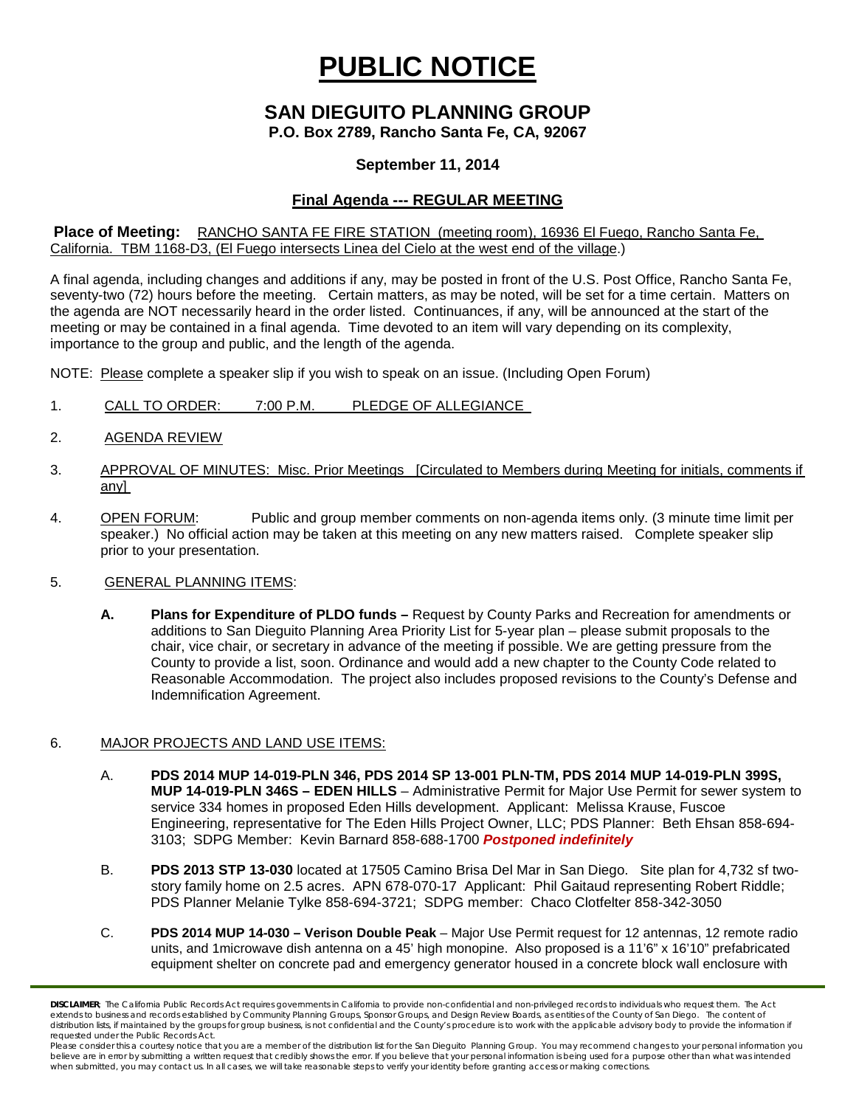# **PUBLIC NOTICE**

## **SAN DIEGUITO PLANNING GROUP**

## **P.O. Box 2789, Rancho Santa Fe, CA, 92067**

### **September 11, 2014**

## **Final Agenda --- REGULAR MEETING**

#### **Place of Meeting:** RANCHO SANTA FE FIRE STATION (meeting room), 16936 El Fuego, Rancho Santa Fe, California. TBM 1168-D3, (El Fuego intersects Linea del Cielo at the west end of the village.)

A final agenda, including changes and additions if any, may be posted in front of the U.S. Post Office, Rancho Santa Fe, seventy-two (72) hours before the meeting. Certain matters, as may be noted, will be set for a time certain. Matters on the agenda are NOT necessarily heard in the order listed. Continuances, if any, will be announced at the start of the meeting or may be contained in a final agenda. Time devoted to an item will vary depending on its complexity, importance to the group and public, and the length of the agenda.

NOTE: Please complete a speaker slip if you wish to speak on an issue. (Including Open Forum)

- 1. CALL TO ORDER: 7:00 P.M. PLEDGE OF ALLEGIANCE
- 2. AGENDA REVIEW
- 3. APPROVAL OF MINUTES: Misc. Prior Meetings [Circulated to Members during Meeting for initials, comments if any]
- 4. OPEN FORUM: Public and group member comments on non-agenda items only. (3 minute time limit per speaker.) No official action may be taken at this meeting on any new matters raised. Complete speaker slip prior to your presentation.

#### 5. GENERAL PLANNING ITEMS:

**A. Plans for Expenditure of PLDO funds –** Request by County Parks and Recreation for amendments or additions to San Dieguito Planning Area Priority List for 5-year plan – please submit proposals to the chair, vice chair, or secretary in advance of the meeting if possible. We are getting pressure from the County to provide a list, soon. Ordinance and would add a new chapter to the County Code related to Reasonable Accommodation. The project also includes proposed revisions to the County's Defense and Indemnification Agreement.

#### 6. MAJOR PROJECTS AND LAND USE ITEMS:

- A. **PDS 2014 MUP 14-019-PLN 346, PDS 2014 SP 13-001 PLN-TM, PDS 2014 MUP 14-019-PLN 399S, MUP 14-019-PLN 346S – EDEN HILLS** – Administrative Permit for Major Use Permit for sewer system to service 334 homes in proposed Eden Hills development. Applicant: Melissa Krause, Fuscoe Engineering, representative for The Eden Hills Project Owner, LLC; PDS Planner: Beth Ehsan 858-694- 3103; SDPG Member: Kevin Barnard 858-688-1700 *Postponed indefinitely*
- B. **PDS 2013 STP 13-030** located at 17505 Camino Brisa Del Mar in San Diego. Site plan for 4,732 sf twostory family home on 2.5 acres. APN 678-070-17 Applicant: Phil Gaitaud representing Robert Riddle; PDS Planner Melanie Tylke 858-694-3721; SDPG member: Chaco Clotfelter 858-342-3050
- C. **PDS 2014 MUP 14-030 – Verison Double Peak** Major Use Permit request for 12 antennas, 12 remote radio units, and 1microwave dish antenna on a 45' high monopine. Also proposed is a 11'6" x 16'10" prefabricated equipment shelter on concrete pad and emergency generator housed in a concrete block wall enclosure with

*DISCLAIMER; The California Public Records Act requires governments in California to provide non-confidential and non-privileged records to individuals who request them. The Act*  extends to business and records established by Community Planning Groups, Sponsor Groups, and Design Review Boards, as entities of the County of San Diego. The content of distribution lists, if maintained by the groups for group business, is not confidential and the County's procedure is to work with the applicable advisory body to provide the information if *requested under the Public Records Act.*

*Please consider this a courtesy notice that you are a member of the distribution list for the San Dieguito Planning Group. You may recommend changes to your personal information you*  believe are in error by submitting a written request that credibly shows the error. If you believe that your personal information is being used for a purpose other than what was intended<br>when submitted, you may contact us.